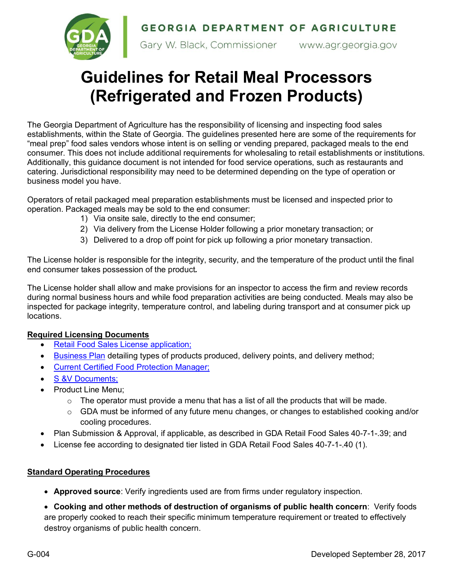GEORGIA DEPARTMENT OF AGRICULTURE



Gary W. Black, Commissioner www.agr.georgia.gov

## **Guidelines for Retail Meal Processors (Refrigerated and Frozen Products)**

The Georgia Department of Agriculture has the responsibility of licensing and inspecting food sales establishments, within the State of Georgia. The guidelines presented here are some of the requirements for "meal prep" food sales vendors whose intent is on selling or vending prepared, packaged meals to the end consumer. This does not include additional requirements for wholesaling to retail establishments or institutions. Additionally, this guidance document is not intended for food service operations, such as restaurants and catering. Jurisdictional responsibility may need to be determined depending on the type of operation or business model you have.

Operators of retail packaged meal preparation establishments must be licensed and inspected prior to operation. Packaged meals may be sold to the end consumer:

- 1) Via onsite sale, directly to the end consumer;
- 2) Via delivery from the License Holder following a prior monetary transaction; or
- 3) Delivered to a drop off point for pick up following a prior monetary transaction.

The License holder is responsible for the integrity, security, and the temperature of the product until the final end consumer takes possession of the product*.*

The License holder shall allow and make provisions for an inspector to access the firm and review records during normal business hours and while food preparation activities are being conducted. Meals may also be inspected for package integrity, temperature control, and labeling during transport and at consumer pick up locations.

## **Required Licensing Documents**

- Retail Food Sales License application;
- Business Plan detailing types of products produced, delivery points, and delivery method;
- Current Certified Food Protection Manager;
- S &V Documents;
- Product Line Menu;
	- $\circ$  The operator must provide a menu that has a list of all the products that will be made.
	- $\circ$  GDA must be informed of any future menu changes, or changes to established cooking and/or cooling procedures.
- Plan Submission & Approval, if applicable, as described in GDA Retail Food Sales 40-7-1-.39; and
- License fee according to designated tier listed in GDA Retail Food Sales 40-7-1-.40 (1).

## **Standard Operating Procedures**

- **Approved source**: Verify ingredients used are from firms under regulatory inspection.
- **Cooking and other methods of destruction of organisms of public health concern**: Verify foods are properly cooked to reach their specific minimum temperature requirement or treated to effectively destroy organisms of public health concern.